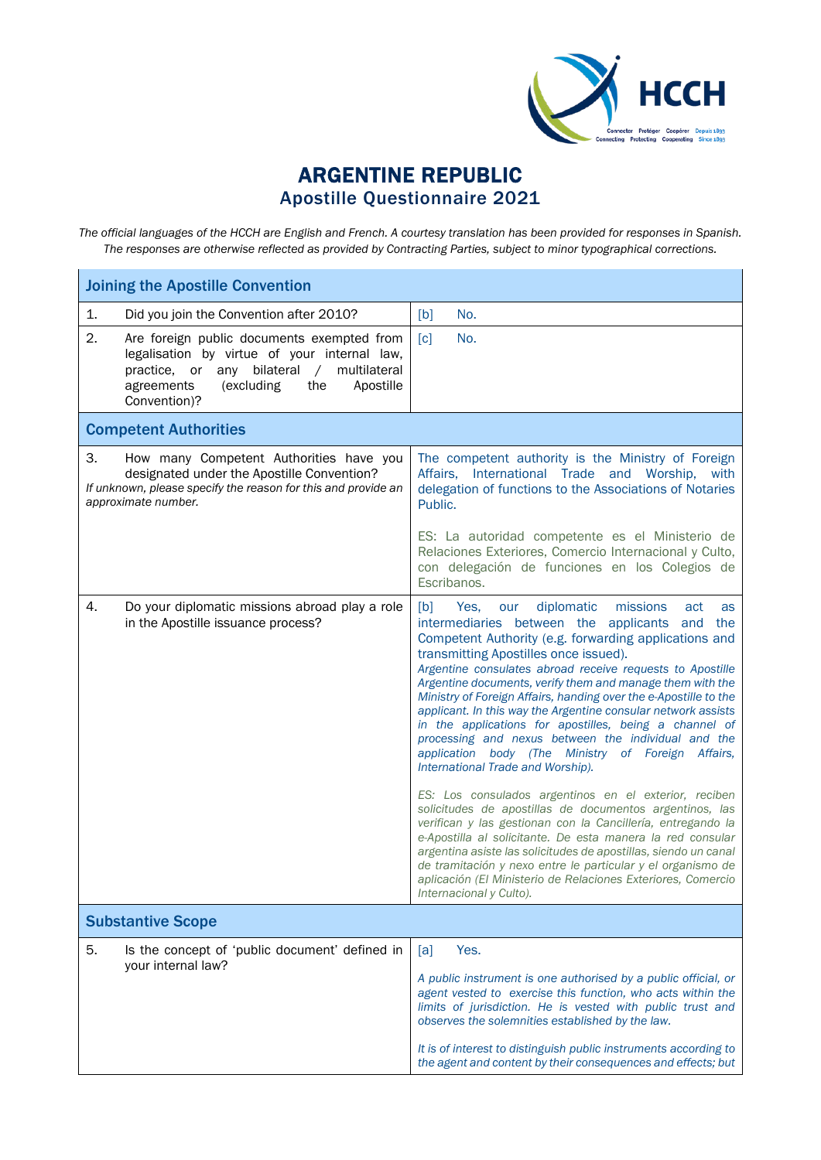

## ARGENTINE REPUBLIC Apostille Questionnaire 2021

*The official languages of the HCCH are English and French. A courtesy translation has been provided for responses in Spanish. The responses are otherwise reflected as provided by Contracting Parties, subject to minor typographical corrections.*

| <b>Joining the Apostille Convention</b>                 |                                                                                                                                                                         |                                                                                                                                                                                                                                                                                                                                                                                                                                                                                                                                                                                                                                                                                                                                                                                                                                                                                                                                                                                                                                                                                                                                                                          |
|---------------------------------------------------------|-------------------------------------------------------------------------------------------------------------------------------------------------------------------------|--------------------------------------------------------------------------------------------------------------------------------------------------------------------------------------------------------------------------------------------------------------------------------------------------------------------------------------------------------------------------------------------------------------------------------------------------------------------------------------------------------------------------------------------------------------------------------------------------------------------------------------------------------------------------------------------------------------------------------------------------------------------------------------------------------------------------------------------------------------------------------------------------------------------------------------------------------------------------------------------------------------------------------------------------------------------------------------------------------------------------------------------------------------------------|
| 1.                                                      | Did you join the Convention after 2010?                                                                                                                                 | No.<br>[b]                                                                                                                                                                                                                                                                                                                                                                                                                                                                                                                                                                                                                                                                                                                                                                                                                                                                                                                                                                                                                                                                                                                                                               |
| 2.<br>practice, or<br>any<br>agreements<br>Convention)? | Are foreign public documents exempted from<br>legalisation by virtue of your internal law,<br>bilateral<br>multilateral<br>$\sqrt{2}$<br>(excluding<br>Apostille<br>the | $\lceil c \rceil$<br>No.                                                                                                                                                                                                                                                                                                                                                                                                                                                                                                                                                                                                                                                                                                                                                                                                                                                                                                                                                                                                                                                                                                                                                 |
| <b>Competent Authorities</b>                            |                                                                                                                                                                         |                                                                                                                                                                                                                                                                                                                                                                                                                                                                                                                                                                                                                                                                                                                                                                                                                                                                                                                                                                                                                                                                                                                                                                          |
| 3.<br>approximate number.                               | How many Competent Authorities have you<br>designated under the Apostille Convention?<br>If unknown, please specify the reason for this and provide an                  | The competent authority is the Ministry of Foreign<br>Affairs, International Trade and Worship, with<br>delegation of functions to the Associations of Notaries<br>Public.                                                                                                                                                                                                                                                                                                                                                                                                                                                                                                                                                                                                                                                                                                                                                                                                                                                                                                                                                                                               |
|                                                         |                                                                                                                                                                         | ES: La autoridad competente es el Ministerio de<br>Relaciones Exteriores, Comercio Internacional y Culto,<br>con delegación de funciones en los Colegios de<br>Escribanos.                                                                                                                                                                                                                                                                                                                                                                                                                                                                                                                                                                                                                                                                                                                                                                                                                                                                                                                                                                                               |
| 4.<br>in the Apostille issuance process?                | Do your diplomatic missions abroad play a role                                                                                                                          | diplomatic<br>[b]<br>missions<br>Yes.<br>our<br>act<br>as<br>intermediaries between the applicants and<br>the<br>Competent Authority (e.g. forwarding applications and<br>transmitting Apostilles once issued).<br>Argentine consulates abroad receive requests to Apostille<br>Argentine documents, verify them and manage them with the<br>Ministry of Foreign Affairs, handing over the e-Apostille to the<br>applicant. In this way the Argentine consular network assists<br>in the applications for apostilles, being a channel of<br>processing and nexus between the individual and the<br>application body (The Ministry of Foreign Affairs,<br>International Trade and Worship).<br>ES: Los consulados argentinos en el exterior, reciben<br>solicitudes de apostillas de documentos argentinos, las<br>verifican y las gestionan con la Cancillería, entregando la<br>e-Apostilla al solicitante. De esta manera la red consular<br>argentina asiste las solicitudes de apostillas, siendo un canal<br>de tramitación y nexo entre le particular y el organismo de<br>aplicación (El Ministerio de Relaciones Exteriores, Comercio<br>Internacional y Culto). |
| <b>Substantive Scope</b>                                |                                                                                                                                                                         |                                                                                                                                                                                                                                                                                                                                                                                                                                                                                                                                                                                                                                                                                                                                                                                                                                                                                                                                                                                                                                                                                                                                                                          |
| 5.<br>your internal law?                                | Is the concept of 'public document' defined in                                                                                                                          | [a]<br>Yes.<br>A public instrument is one authorised by a public official, or<br>agent vested to exercise this function, who acts within the<br>limits of jurisdiction. He is vested with public trust and<br>observes the solemnities established by the law.<br>It is of interest to distinguish public instruments according to<br>the agent and content by their consequences and effects; but                                                                                                                                                                                                                                                                                                                                                                                                                                                                                                                                                                                                                                                                                                                                                                       |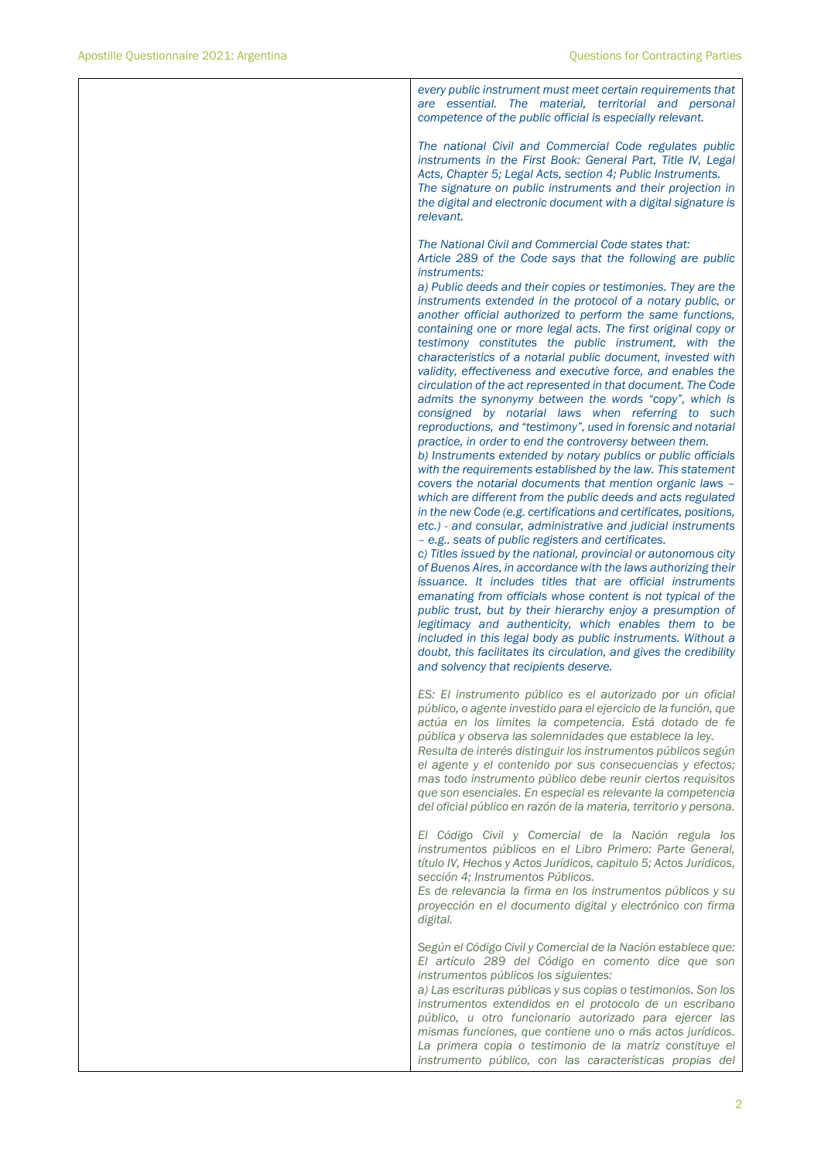| every public instrument must meet certain requirements that<br>are essential. The material, territorial and personal<br>competence of the public official is especially relevant.                                                                                                                                                                                                                                                                                                                                                                                                                                                                                                                                                                                                                                                                                                                                                                                                                                                                                                                                                                                                                                                                                                                                                                                                                                                                                                                                                                                                                                                                                                                                                                                                                                                                                                                                                               |
|-------------------------------------------------------------------------------------------------------------------------------------------------------------------------------------------------------------------------------------------------------------------------------------------------------------------------------------------------------------------------------------------------------------------------------------------------------------------------------------------------------------------------------------------------------------------------------------------------------------------------------------------------------------------------------------------------------------------------------------------------------------------------------------------------------------------------------------------------------------------------------------------------------------------------------------------------------------------------------------------------------------------------------------------------------------------------------------------------------------------------------------------------------------------------------------------------------------------------------------------------------------------------------------------------------------------------------------------------------------------------------------------------------------------------------------------------------------------------------------------------------------------------------------------------------------------------------------------------------------------------------------------------------------------------------------------------------------------------------------------------------------------------------------------------------------------------------------------------------------------------------------------------------------------------------------------------|
| The national Civil and Commercial Code regulates public<br>instruments in the First Book: General Part, Title IV, Legal<br>Acts, Chapter 5; Legal Acts, section 4; Public Instruments.<br>The signature on public instruments and their projection in<br>the digital and electronic document with a digital signature is<br>relevant.                                                                                                                                                                                                                                                                                                                                                                                                                                                                                                                                                                                                                                                                                                                                                                                                                                                                                                                                                                                                                                                                                                                                                                                                                                                                                                                                                                                                                                                                                                                                                                                                           |
| The National Civil and Commercial Code states that:<br>Article 289 of the Code says that the following are public<br><i>instruments:</i><br>a) Public deeds and their copies or testimonies. They are the<br>instruments extended in the protocol of a notary public, or<br>another official authorized to perform the same functions,<br>containing one or more legal acts. The first original copy or<br>testimony constitutes the public instrument, with the<br>characteristics of a notarial public document, invested with<br>validity, effectiveness and executive force, and enables the<br>circulation of the act represented in that document. The Code<br>admits the synonymy between the words "copy", which is<br>consigned by notarial laws when referring to such<br>reproductions, and "testimony", used in forensic and notarial<br>practice, in order to end the controversy between them.<br>b) Instruments extended by notary publics or public officials<br>with the requirements established by the law. This statement<br>covers the notarial documents that mention organic laws -<br>which are different from the public deeds and acts regulated<br>in the new Code (e.g. certifications and certificates, positions,<br>etc.) - and consular, administrative and judicial instruments<br>- e.g seats of public registers and certificates.<br>c) Titles issued by the national, provincial or autonomous city<br>of Buenos Aires, in accordance with the laws authorizing their<br>issuance. It includes titles that are official instruments<br>emanating from officials whose content is not typical of the<br>public trust, but by their hierarchy enjoy a presumption of<br>legitimacy and authenticity, which enables them to be<br>included in this legal body as public instruments. Without a<br>doubt, this facilitates its circulation, and gives the credibility<br>and solvency that recipients deserve. |
| ES: El instrumento público es el autorizado por un oficial<br>público, o agente investido para el ejercicio de la función, que<br>actúa en los límites la competencia. Está dotado de fe<br>pública y observa las solemnidades que establece la ley.<br>Resulta de interés distinguir los instrumentos públicos según<br>el agente y el contenido por sus consecuencias y efectos;<br>mas todo instrumento público debe reunir ciertos requisitos<br>que son esenciales. En especial es relevante la competencia<br>del oficial público en razón de la materia, territorio y persona.                                                                                                                                                                                                                                                                                                                                                                                                                                                                                                                                                                                                                                                                                                                                                                                                                                                                                                                                                                                                                                                                                                                                                                                                                                                                                                                                                           |
| El Código Civil y Comercial de la Nación regula los<br>instrumentos públicos en el Libro Primero: Parte General,<br>título IV, Hechos y Actos Jurídicos, capitulo 5; Actos Jurídicos,<br>sección 4; Instrumentos Públicos.<br>Es de relevancia la firma en los instrumentos públicos y su<br>proyección en el documento digital y electrónico con firma<br>digital.                                                                                                                                                                                                                                                                                                                                                                                                                                                                                                                                                                                                                                                                                                                                                                                                                                                                                                                                                                                                                                                                                                                                                                                                                                                                                                                                                                                                                                                                                                                                                                             |
| Según el Código Civil y Comercial de la Nación establece que:<br>El artículo 289 del Código en comento dice que son<br>instrumentos públicos los siguientes:<br>a) Las escrituras públicas y sus copias o testimonios. Son los<br>instrumentos extendidos en el protocolo de un escribano<br>público, u otro funcionario autorizado para ejercer las<br>mismas funciones, que contiene uno o más actos jurídicos.<br>La primera copia o testimonio de la matriz constituye el<br>instrumento público, con las características propias del                                                                                                                                                                                                                                                                                                                                                                                                                                                                                                                                                                                                                                                                                                                                                                                                                                                                                                                                                                                                                                                                                                                                                                                                                                                                                                                                                                                                       |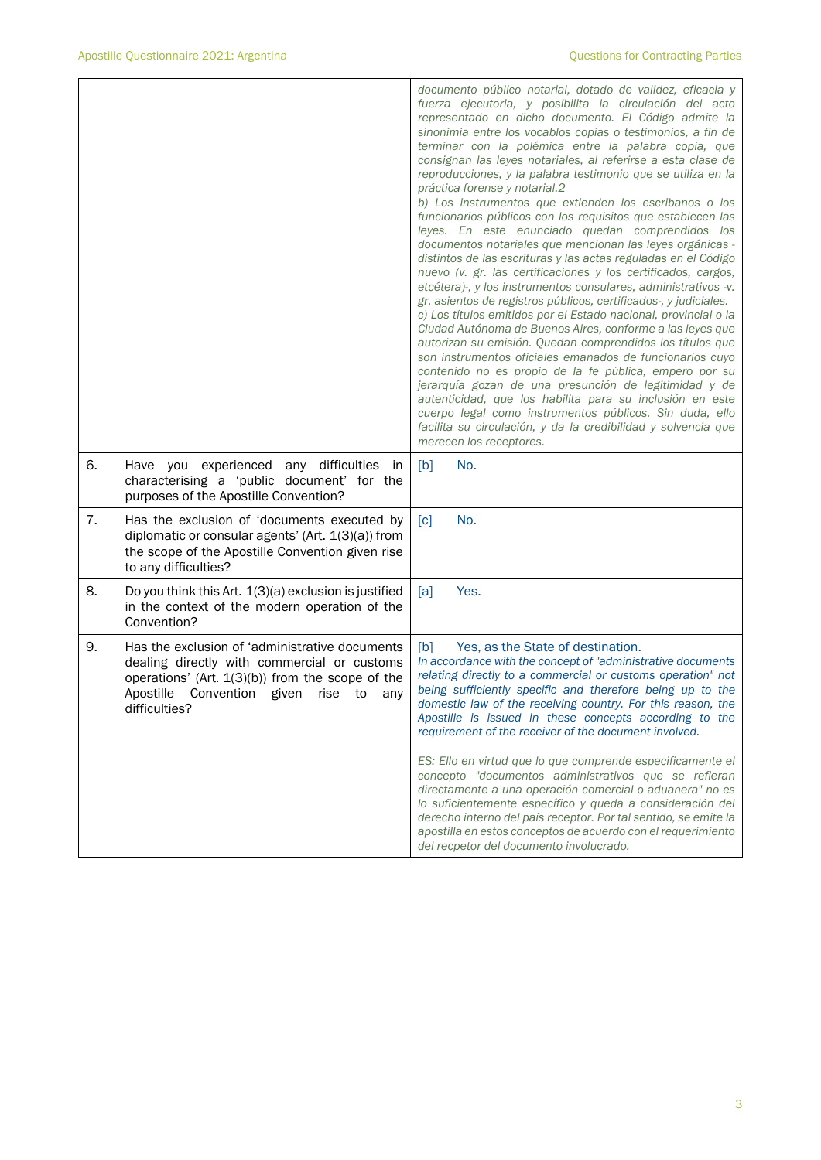|    |                                                                                                                                                                                                                 | documento público notarial, dotado de validez, eficacia y<br>fuerza ejecutoria, y posibilita la circulación del acto<br>representado en dicho documento. El Código admite la<br>sinonimia entre los vocablos copias o testimonios, a fin de<br>terminar con la polémica entre la palabra copia, que<br>consignan las leyes notariales, al referirse a esta clase de<br>reproducciones, y la palabra testimonio que se utiliza en la<br>práctica forense y notarial.2<br>b) Los instrumentos que extienden los escribanos o los<br>funcionarios públicos con los requisitos que establecen las<br>leyes. En este enunciado quedan comprendidos los<br>documentos notariales que mencionan las leyes orgánicas -<br>distintos de las escrituras y las actas reguladas en el Código<br>nuevo (v. gr. las certificaciones y los certificados, cargos,<br>etcétera)-, y los instrumentos consulares, administrativos -v.<br>gr. asientos de registros públicos, certificados-, y judiciales.<br>c) Los títulos emitidos por el Estado nacional, provincial o la<br>Ciudad Autónoma de Buenos Aires, conforme a las leyes que<br>autorizan su emisión. Quedan comprendidos los títulos que<br>son instrumentos oficiales emanados de funcionarios cuyo<br>contenido no es propio de la fe pública, empero por su<br>jerarquía gozan de una presunción de legitimidad y de<br>autenticidad, que los habilita para su inclusión en este<br>cuerpo legal como instrumentos públicos. Sin duda, ello<br>facilita su circulación, y da la credibilidad y solvencia que<br>merecen los receptores. |
|----|-----------------------------------------------------------------------------------------------------------------------------------------------------------------------------------------------------------------|----------------------------------------------------------------------------------------------------------------------------------------------------------------------------------------------------------------------------------------------------------------------------------------------------------------------------------------------------------------------------------------------------------------------------------------------------------------------------------------------------------------------------------------------------------------------------------------------------------------------------------------------------------------------------------------------------------------------------------------------------------------------------------------------------------------------------------------------------------------------------------------------------------------------------------------------------------------------------------------------------------------------------------------------------------------------------------------------------------------------------------------------------------------------------------------------------------------------------------------------------------------------------------------------------------------------------------------------------------------------------------------------------------------------------------------------------------------------------------------------------------------------------------------------------------------------------------------|
| 6. | Have you experienced any difficulties<br>in.<br>characterising a 'public document' for the<br>purposes of the Apostille Convention?                                                                             | No.<br>[b]                                                                                                                                                                                                                                                                                                                                                                                                                                                                                                                                                                                                                                                                                                                                                                                                                                                                                                                                                                                                                                                                                                                                                                                                                                                                                                                                                                                                                                                                                                                                                                             |
| 7. | Has the exclusion of 'documents executed by<br>diplomatic or consular agents' (Art. 1(3)(a)) from<br>the scope of the Apostille Convention given rise<br>to any difficulties?                                   | No.<br>[c]                                                                                                                                                                                                                                                                                                                                                                                                                                                                                                                                                                                                                                                                                                                                                                                                                                                                                                                                                                                                                                                                                                                                                                                                                                                                                                                                                                                                                                                                                                                                                                             |
| 8. | Do you think this Art. $1(3)(a)$ exclusion is justified<br>in the context of the modern operation of the<br>Convention?                                                                                         | Yes.<br>[a]                                                                                                                                                                                                                                                                                                                                                                                                                                                                                                                                                                                                                                                                                                                                                                                                                                                                                                                                                                                                                                                                                                                                                                                                                                                                                                                                                                                                                                                                                                                                                                            |
| 9. | Has the exclusion of 'administrative documents<br>dealing directly with commercial or customs<br>operations' (Art. $1(3)(b)$ ) from the scope of the<br>Apostille Convention given rise to any<br>difficulties? | [b]<br>Yes, as the State of destination.<br>In accordance with the concept of "administrative documents<br>relating directly to a commercial or customs operation" not<br>being sufficiently specific and therefore being up to the<br>domestic law of the receiving country. For this reason, the<br>Apostille is issued in these concepts according to the<br>requirement of the receiver of the document involved.                                                                                                                                                                                                                                                                                                                                                                                                                                                                                                                                                                                                                                                                                                                                                                                                                                                                                                                                                                                                                                                                                                                                                                  |
|    |                                                                                                                                                                                                                 | ES: Ello en virtud que lo que comprende especificamente el<br>concepto "documentos administrativos que se refieran<br>directamente a una operación comercial o aduanera" no es<br>lo suficientemente específico y queda a consideración del<br>derecho interno del país receptor. Por tal sentido, se emite la<br>apostilla en estos conceptos de acuerdo con el requerimiento<br>del recpetor del documento involucrado.                                                                                                                                                                                                                                                                                                                                                                                                                                                                                                                                                                                                                                                                                                                                                                                                                                                                                                                                                                                                                                                                                                                                                              |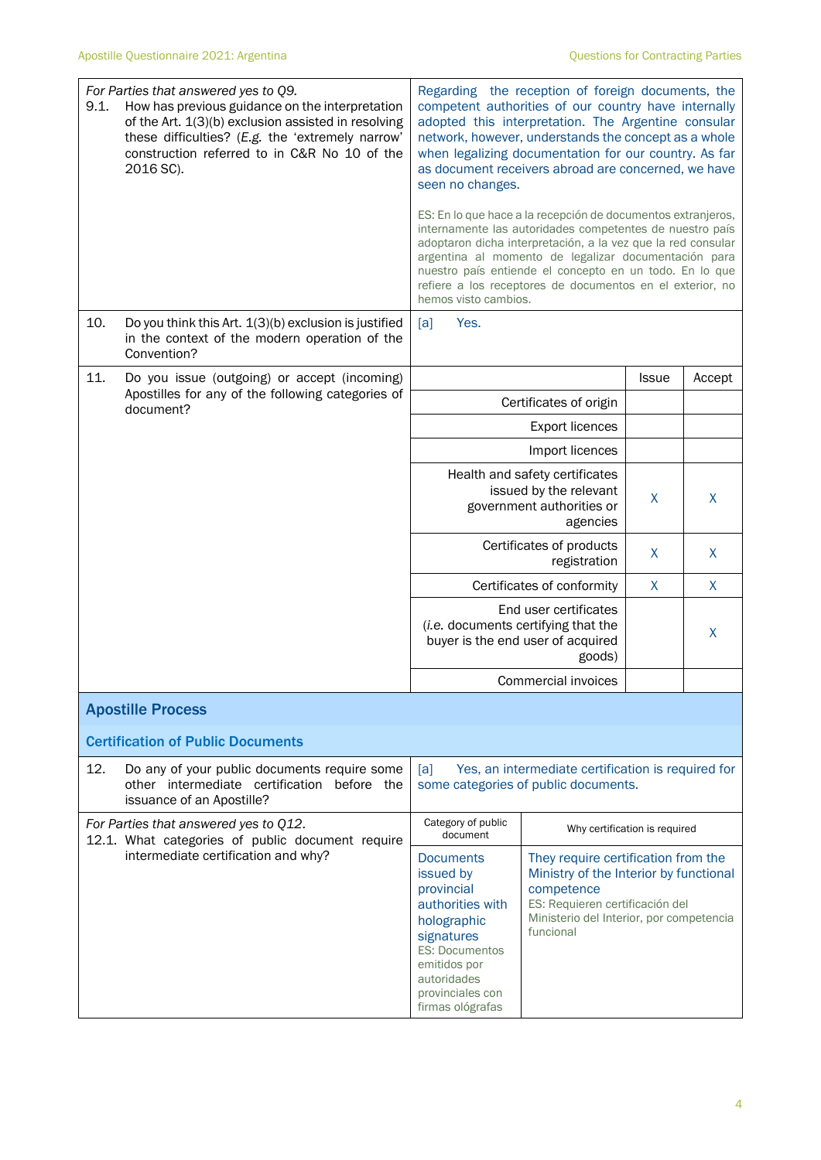| 9.1. | For Parties that answered yes to Q9.<br>How has previous guidance on the interpretation<br>of the Art. 1(3)(b) exclusion assisted in resolving<br>these difficulties? (E.g. the 'extremely narrow'<br>construction referred to in C&R No 10 of the<br>2016 SC). | Regarding the reception of foreign documents, the<br>competent authorities of our country have internally<br>adopted this interpretation. The Argentine consular<br>network, however, understands the concept as a whole<br>when legalizing documentation for our country. As far<br>as document receivers abroad are concerned, we have<br>seen no changes.<br>ES: En lo que hace a la recepción de documentos extranjeros,<br>internamente las autoridades competentes de nuestro país<br>adoptaron dicha interpretación, a la vez que la red consular<br>argentina al momento de legalizar documentación para<br>nuestro país entiende el concepto en un todo. En lo que<br>refiere a los receptores de documentos en el exterior, no |                                                                                                                                                                                         |              |        |
|------|-----------------------------------------------------------------------------------------------------------------------------------------------------------------------------------------------------------------------------------------------------------------|------------------------------------------------------------------------------------------------------------------------------------------------------------------------------------------------------------------------------------------------------------------------------------------------------------------------------------------------------------------------------------------------------------------------------------------------------------------------------------------------------------------------------------------------------------------------------------------------------------------------------------------------------------------------------------------------------------------------------------------|-----------------------------------------------------------------------------------------------------------------------------------------------------------------------------------------|--------------|--------|
| 10.  | Do you think this Art. 1(3)(b) exclusion is justified<br>in the context of the modern operation of the<br>Convention?                                                                                                                                           | hemos visto cambios.<br>[a]<br>Yes.                                                                                                                                                                                                                                                                                                                                                                                                                                                                                                                                                                                                                                                                                                      |                                                                                                                                                                                         |              |        |
| 11.  | Do you issue (outgoing) or accept (incoming)                                                                                                                                                                                                                    |                                                                                                                                                                                                                                                                                                                                                                                                                                                                                                                                                                                                                                                                                                                                          |                                                                                                                                                                                         | <b>Issue</b> | Accept |
|      | Apostilles for any of the following categories of<br>document?                                                                                                                                                                                                  |                                                                                                                                                                                                                                                                                                                                                                                                                                                                                                                                                                                                                                                                                                                                          | Certificates of origin                                                                                                                                                                  |              |        |
|      |                                                                                                                                                                                                                                                                 |                                                                                                                                                                                                                                                                                                                                                                                                                                                                                                                                                                                                                                                                                                                                          | <b>Export licences</b>                                                                                                                                                                  |              |        |
|      |                                                                                                                                                                                                                                                                 |                                                                                                                                                                                                                                                                                                                                                                                                                                                                                                                                                                                                                                                                                                                                          | Import licences                                                                                                                                                                         |              |        |
|      |                                                                                                                                                                                                                                                                 | Health and safety certificates<br>issued by the relevant<br>government authorities or                                                                                                                                                                                                                                                                                                                                                                                                                                                                                                                                                                                                                                                    | X                                                                                                                                                                                       | X            |        |
|      |                                                                                                                                                                                                                                                                 | Certificates of products                                                                                                                                                                                                                                                                                                                                                                                                                                                                                                                                                                                                                                                                                                                 | X                                                                                                                                                                                       | $\mathsf{X}$ |        |
|      |                                                                                                                                                                                                                                                                 |                                                                                                                                                                                                                                                                                                                                                                                                                                                                                                                                                                                                                                                                                                                                          | Certificates of conformity                                                                                                                                                              | X            | X      |
|      |                                                                                                                                                                                                                                                                 | End user certificates<br>(i.e. documents certifying that the<br>buyer is the end user of acquired<br>goods)                                                                                                                                                                                                                                                                                                                                                                                                                                                                                                                                                                                                                              |                                                                                                                                                                                         |              | X      |
|      |                                                                                                                                                                                                                                                                 | Commercial invoices                                                                                                                                                                                                                                                                                                                                                                                                                                                                                                                                                                                                                                                                                                                      |                                                                                                                                                                                         |              |        |
|      | <b>Apostille Process</b>                                                                                                                                                                                                                                        |                                                                                                                                                                                                                                                                                                                                                                                                                                                                                                                                                                                                                                                                                                                                          |                                                                                                                                                                                         |              |        |
|      | <b>Certification of Public Documents</b>                                                                                                                                                                                                                        |                                                                                                                                                                                                                                                                                                                                                                                                                                                                                                                                                                                                                                                                                                                                          |                                                                                                                                                                                         |              |        |
| 12.  | Do any of your public documents require some<br>other intermediate certification before the<br>issuance of an Apostille?                                                                                                                                        | [a]<br>Yes, an intermediate certification is required for<br>some categories of public documents.                                                                                                                                                                                                                                                                                                                                                                                                                                                                                                                                                                                                                                        |                                                                                                                                                                                         |              |        |
|      | For Parties that answered yes to Q12.<br>12.1. What categories of public document require                                                                                                                                                                       | Category of public<br>document                                                                                                                                                                                                                                                                                                                                                                                                                                                                                                                                                                                                                                                                                                           | Why certification is required                                                                                                                                                           |              |        |
|      | intermediate certification and why?                                                                                                                                                                                                                             | <b>Documents</b><br>issued by<br>provincial<br>authorities with<br>holographic<br>signatures<br><b>ES: Documentos</b><br>emitidos por<br>autoridades<br>provinciales con<br>firmas ológrafas                                                                                                                                                                                                                                                                                                                                                                                                                                                                                                                                             | They require certification from the<br>Ministry of the Interior by functional<br>competence<br>ES: Requieren certificación del<br>Ministerio del Interior, por competencia<br>funcional |              |        |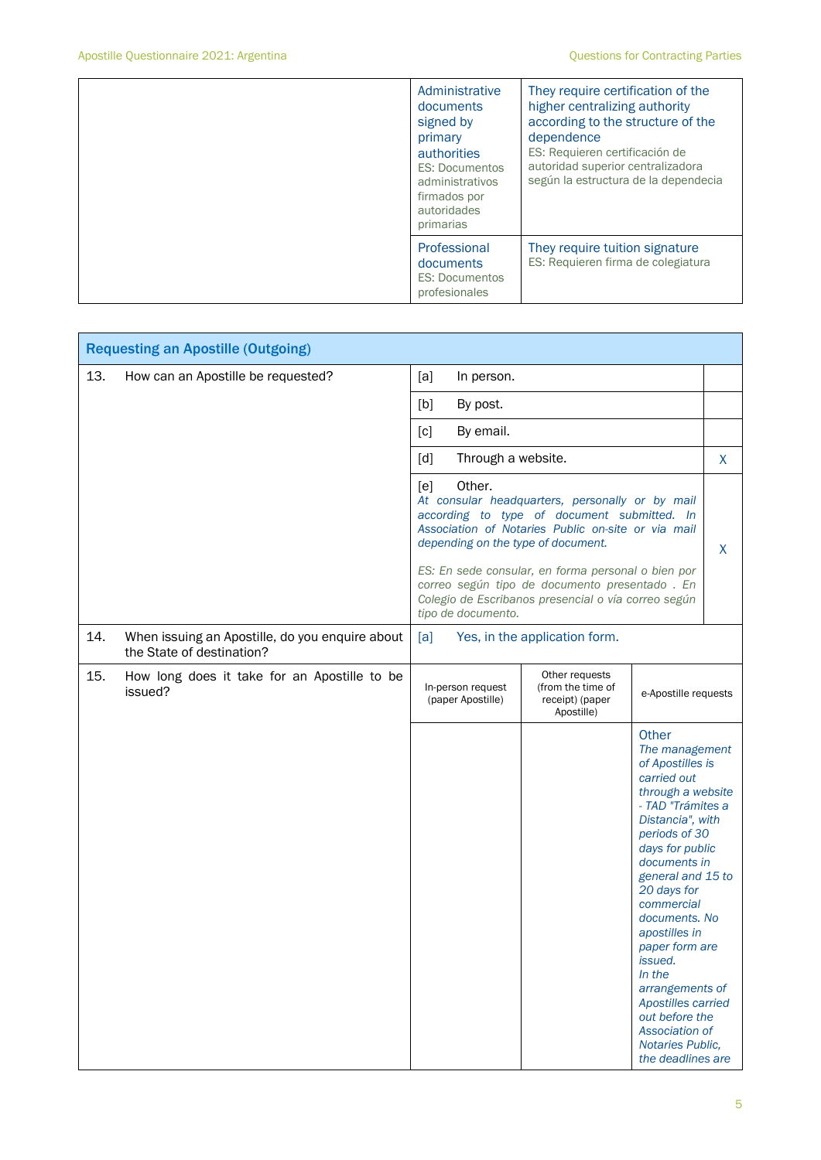|  | Administrative<br>documents<br>signed by<br>primary<br>authorities<br><b>ES: Documentos</b><br>administrativos<br>firmados por<br>autoridades<br>primarias | They require certification of the<br>higher centralizing authority<br>according to the structure of the<br>dependence<br>ES: Requieren certificación de<br>autoridad superior centralizadora<br>según la estructura de la dependecia |
|--|------------------------------------------------------------------------------------------------------------------------------------------------------------|--------------------------------------------------------------------------------------------------------------------------------------------------------------------------------------------------------------------------------------|
|  | Professional<br>documents<br><b>ES: Documentos</b><br>profesionales                                                                                        | They require tuition signature<br>ES: Requieren firma de colegiatura                                                                                                                                                                 |

| <b>Requesting an Apostille (Outgoing)</b> |                                                                              |                                                                                                                                                                                                                                                                                                                                                                                                 |                                                                      |                                                                                                                                                                                                                                                                                                                                                                                                                                      |   |
|-------------------------------------------|------------------------------------------------------------------------------|-------------------------------------------------------------------------------------------------------------------------------------------------------------------------------------------------------------------------------------------------------------------------------------------------------------------------------------------------------------------------------------------------|----------------------------------------------------------------------|--------------------------------------------------------------------------------------------------------------------------------------------------------------------------------------------------------------------------------------------------------------------------------------------------------------------------------------------------------------------------------------------------------------------------------------|---|
| 13.                                       | How can an Apostille be requested?                                           | [a]<br>In person.                                                                                                                                                                                                                                                                                                                                                                               |                                                                      |                                                                                                                                                                                                                                                                                                                                                                                                                                      |   |
|                                           |                                                                              | [b]<br>By post.                                                                                                                                                                                                                                                                                                                                                                                 |                                                                      |                                                                                                                                                                                                                                                                                                                                                                                                                                      |   |
|                                           |                                                                              | [c]<br>By email.                                                                                                                                                                                                                                                                                                                                                                                |                                                                      |                                                                                                                                                                                                                                                                                                                                                                                                                                      |   |
|                                           |                                                                              | $\lceil d \rceil$<br>Through a website.                                                                                                                                                                                                                                                                                                                                                         |                                                                      |                                                                                                                                                                                                                                                                                                                                                                                                                                      | X |
|                                           |                                                                              | Other.<br>[e]<br>At consular headquarters, personally or by mail<br>according to type of document submitted. In<br>Association of Notaries Public on-site or via mail<br>depending on the type of document.<br>ES: En sede consular, en forma personal o bien por<br>correo según tipo de documento presentado. En<br>Colegio de Escribanos presencial o vía correo según<br>tipo de documento. |                                                                      |                                                                                                                                                                                                                                                                                                                                                                                                                                      | X |
| 14.                                       | When issuing an Apostille, do you enquire about<br>the State of destination? | [a]                                                                                                                                                                                                                                                                                                                                                                                             | Yes, in the application form.                                        |                                                                                                                                                                                                                                                                                                                                                                                                                                      |   |
| 15.                                       | How long does it take for an Apostille to be<br>issued?                      | In-person request<br>(paper Apostille)                                                                                                                                                                                                                                                                                                                                                          | Other requests<br>(from the time of<br>receipt) (paper<br>Apostille) | e-Apostille requests                                                                                                                                                                                                                                                                                                                                                                                                                 |   |
|                                           |                                                                              |                                                                                                                                                                                                                                                                                                                                                                                                 |                                                                      | Other<br>The management<br>of Apostilles is<br>carried out<br>through a website<br>- TAD "Trámites a<br>Distancia", with<br>periods of 30<br>days for public<br>documents in<br>general and 15 to<br>20 days for<br>commercial<br>documents. No<br>apostilles in<br>paper form are<br><i>issued.</i><br>In the<br>arrangements of<br>Apostilles carried<br>out before the<br>Association of<br>Notaries Public,<br>the deadlines are |   |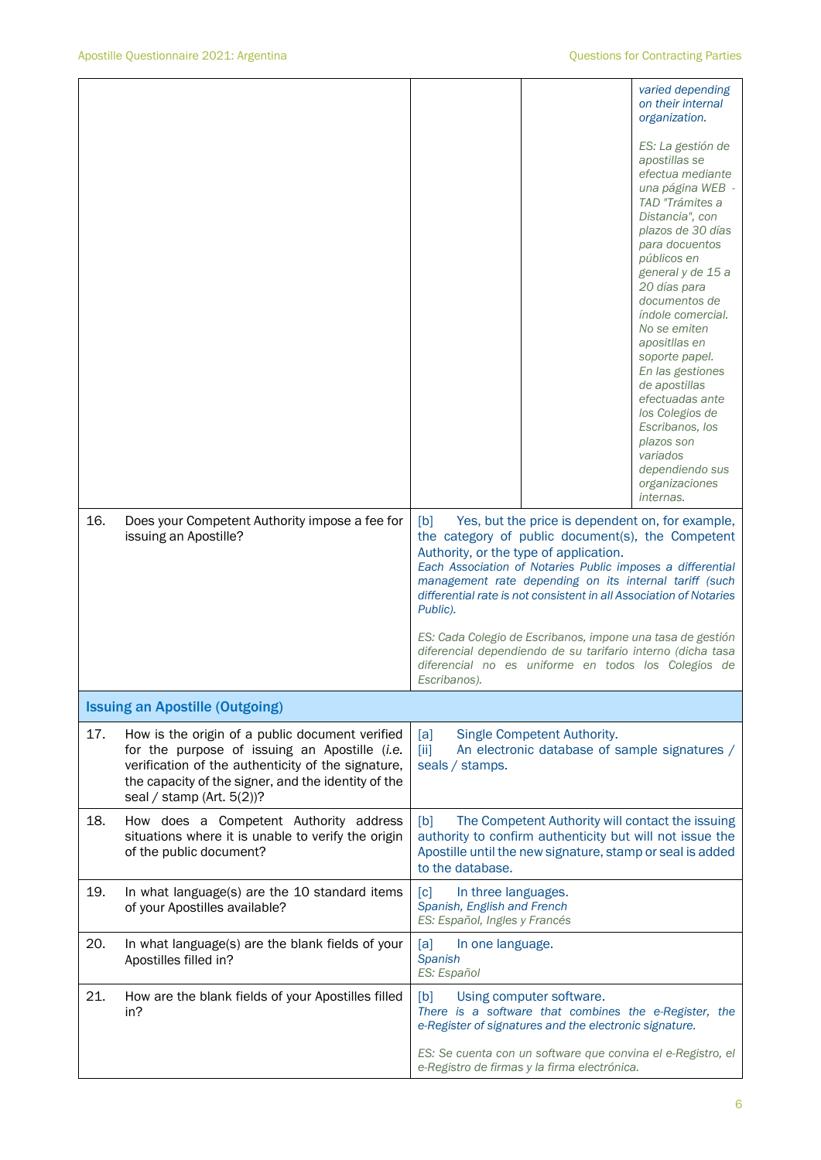|     |                                                                                                                                                                                                                                            | varied depending<br>on their internal<br>organization.                                                                                                                                                                                                                                                                                                                                                                                                                         |
|-----|--------------------------------------------------------------------------------------------------------------------------------------------------------------------------------------------------------------------------------------------|--------------------------------------------------------------------------------------------------------------------------------------------------------------------------------------------------------------------------------------------------------------------------------------------------------------------------------------------------------------------------------------------------------------------------------------------------------------------------------|
|     |                                                                                                                                                                                                                                            | ES: La gestión de<br>apostillas se<br>efectua mediante<br>una página WEB -<br>TAD "Trámites a<br>Distancia", con<br>plazos de 30 días<br>para docuentos<br>públicos en<br>general y de 15 a<br>20 días para<br>documentos de<br>índole comercial.<br>No se emiten<br>apositllas en<br>soporte papel.<br>En las gestiones<br>de apostillas<br>efectuadas ante<br>los Colegios de<br>Escribanos, los<br>plazos son<br>variados<br>dependiendo sus<br>organizaciones<br>internas. |
| 16. | Does your Competent Authority impose a fee for<br>issuing an Apostille?                                                                                                                                                                    | Yes, but the price is dependent on, for example,<br>[b]<br>the category of public document(s), the Competent<br>Authority, or the type of application.<br>Each Association of Notaries Public imposes a differential<br>management rate depending on its internal tariff (such<br>differential rate is not consistent in all Association of Notaries<br>Public).                                                                                                               |
|     |                                                                                                                                                                                                                                            | ES: Cada Colegio de Escribanos, impone una tasa de gestión<br>diferencial dependiendo de su tarifario interno (dicha tasa<br>diferencial no es uniforme en todos los Colegios de<br>Escribanos).                                                                                                                                                                                                                                                                               |
|     | <b>Issuing an Apostille (Outgoing)</b>                                                                                                                                                                                                     |                                                                                                                                                                                                                                                                                                                                                                                                                                                                                |
| 17. | How is the origin of a public document verified<br>for the purpose of issuing an Apostille (i.e.<br>verification of the authenticity of the signature,<br>the capacity of the signer, and the identity of the<br>seal / stamp (Art. 5(2))? | [a]<br>Single Competent Authority.<br>[iii]<br>An electronic database of sample signatures /<br>seals / stamps.                                                                                                                                                                                                                                                                                                                                                                |
| 18. | How does a Competent Authority address<br>situations where it is unable to verify the origin<br>of the public document?                                                                                                                    | The Competent Authority will contact the issuing<br>[b]<br>authority to confirm authenticity but will not issue the<br>Apostille until the new signature, stamp or seal is added<br>to the database.                                                                                                                                                                                                                                                                           |
| 19. | In what language(s) are the 10 standard items<br>of your Apostilles available?                                                                                                                                                             | $\lceil c \rceil$<br>In three languages.<br>Spanish, English and French<br>ES: Español, Ingles y Francés                                                                                                                                                                                                                                                                                                                                                                       |
| 20. | In what language(s) are the blank fields of your<br>Apostilles filled in?                                                                                                                                                                  | [a]<br>In one language.<br><b>Spanish</b><br>ES: Español                                                                                                                                                                                                                                                                                                                                                                                                                       |
| 21. | How are the blank fields of your Apostilles filled<br>in?                                                                                                                                                                                  | Using computer software.<br>[b]<br>There is a software that combines the e-Register, the<br>e-Register of signatures and the electronic signature.                                                                                                                                                                                                                                                                                                                             |
|     |                                                                                                                                                                                                                                            | ES: Se cuenta con un software que convina el e-Registro, el<br>e-Registro de firmas y la firma electrónica.                                                                                                                                                                                                                                                                                                                                                                    |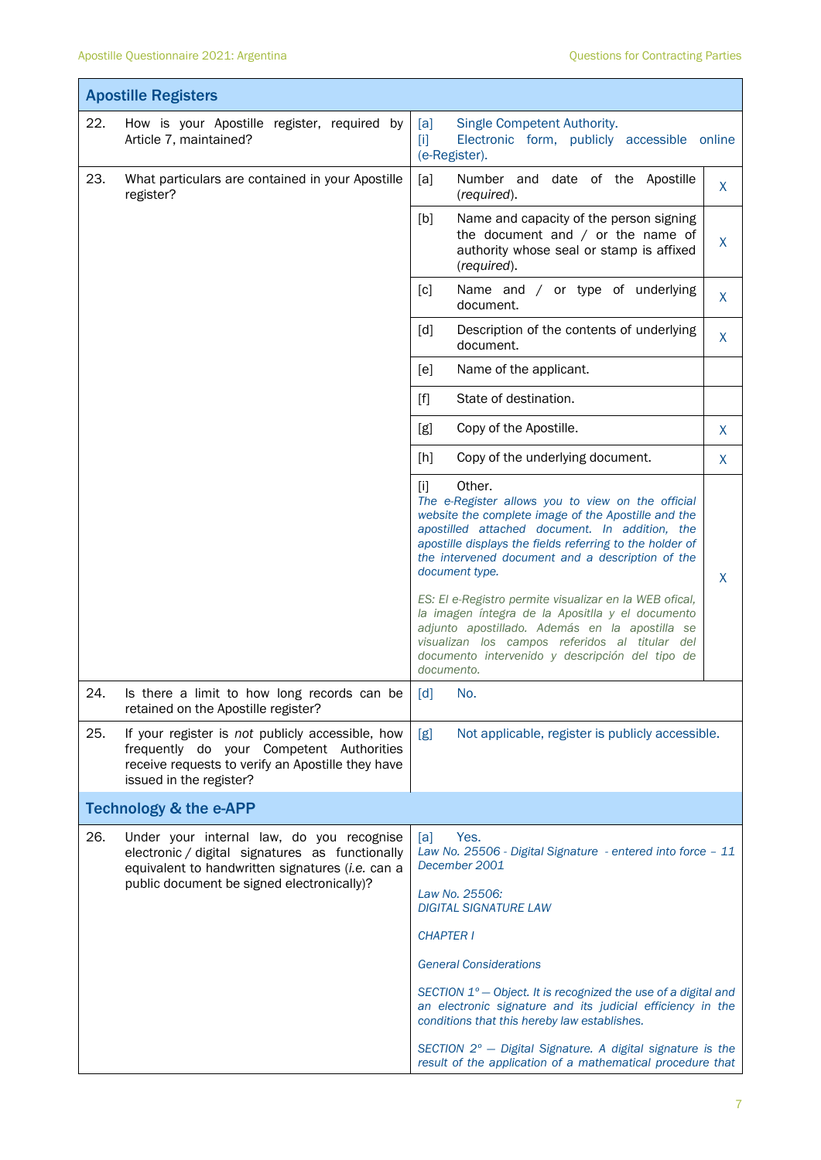|     | <b>Apostille Registers</b>                                                                                                                                                                     |                                                                                                                                                                                                                                                                                                                 |        |
|-----|------------------------------------------------------------------------------------------------------------------------------------------------------------------------------------------------|-----------------------------------------------------------------------------------------------------------------------------------------------------------------------------------------------------------------------------------------------------------------------------------------------------------------|--------|
| 22. | How is your Apostille register, required by<br>Article 7, maintained?                                                                                                                          | Single Competent Authority.<br>[a]<br>Electronic form, publicly accessible<br>$[1]$<br>(e-Register).                                                                                                                                                                                                            | online |
| 23. | What particulars are contained in your Apostille<br>register?                                                                                                                                  | [a]<br>Number and date of the Apostille<br>(required).                                                                                                                                                                                                                                                          | X      |
|     |                                                                                                                                                                                                | [b]<br>Name and capacity of the person signing<br>the document and $/$ or the name of<br>authority whose seal or stamp is affixed<br>(required).                                                                                                                                                                | X      |
|     |                                                                                                                                                                                                | [c]<br>Name and / or type of underlying<br>document.                                                                                                                                                                                                                                                            | X      |
|     |                                                                                                                                                                                                | [d]<br>Description of the contents of underlying<br>document.                                                                                                                                                                                                                                                   | X      |
|     |                                                                                                                                                                                                | [e]<br>Name of the applicant.                                                                                                                                                                                                                                                                                   |        |
|     |                                                                                                                                                                                                | State of destination.<br>$[f]$                                                                                                                                                                                                                                                                                  |        |
|     |                                                                                                                                                                                                | Copy of the Apostille.<br>[g]                                                                                                                                                                                                                                                                                   | X      |
|     |                                                                                                                                                                                                | Copy of the underlying document.<br>$[h]$                                                                                                                                                                                                                                                                       | X      |
|     |                                                                                                                                                                                                | Other.<br>$[1]$<br>The e-Register allows you to view on the official<br>website the complete image of the Apostille and the<br>apostilled attached document. In addition, the<br>apostille displays the fields referring to the holder of<br>the intervened document and a description of the<br>document type. | X      |
|     |                                                                                                                                                                                                | ES: El e-Registro permite visualizar en la WEB ofical,<br>la imagen íntegra de la Apositlla y el documento<br>adjunto apostillado. Además en la apostilla se<br>visualizan los campos referidos al titular del<br>documento intervenido y descripción del tipo de<br>documento.                                 |        |
| 24. | Is there a limit to how long records can be<br>retained on the Apostille register?                                                                                                             | [d]<br>No.                                                                                                                                                                                                                                                                                                      |        |
| 25. | If your register is not publicly accessible, how<br>frequently do your Competent Authorities<br>receive requests to verify an Apostille they have<br>issued in the register?                   | Not applicable, register is publicly accessible.<br>[g]                                                                                                                                                                                                                                                         |        |
|     | <b>Technology &amp; the e-APP</b>                                                                                                                                                              |                                                                                                                                                                                                                                                                                                                 |        |
| 26. | Under your internal law, do you recognise<br>electronic / digital signatures as functionally<br>equivalent to handwritten signatures (i.e. can a<br>public document be signed electronically)? | Yes.<br>[a]<br>Law No. 25506 - Digital Signature - entered into force - 11<br>December 2001<br>Law No. 25506:                                                                                                                                                                                                   |        |
|     |                                                                                                                                                                                                | <b>DIGITAL SIGNATURE LAW</b>                                                                                                                                                                                                                                                                                    |        |
|     |                                                                                                                                                                                                | <b>CHAPTER I</b>                                                                                                                                                                                                                                                                                                |        |
|     |                                                                                                                                                                                                | <b>General Considerations</b>                                                                                                                                                                                                                                                                                   |        |
|     |                                                                                                                                                                                                | SECTION 1° - Object. It is recognized the use of a digital and<br>an electronic signature and its judicial efficiency in the<br>conditions that this hereby law establishes.                                                                                                                                    |        |
|     |                                                                                                                                                                                                | SECTION 2° - Digital Signature. A digital signature is the<br>result of the application of a mathematical procedure that                                                                                                                                                                                        |        |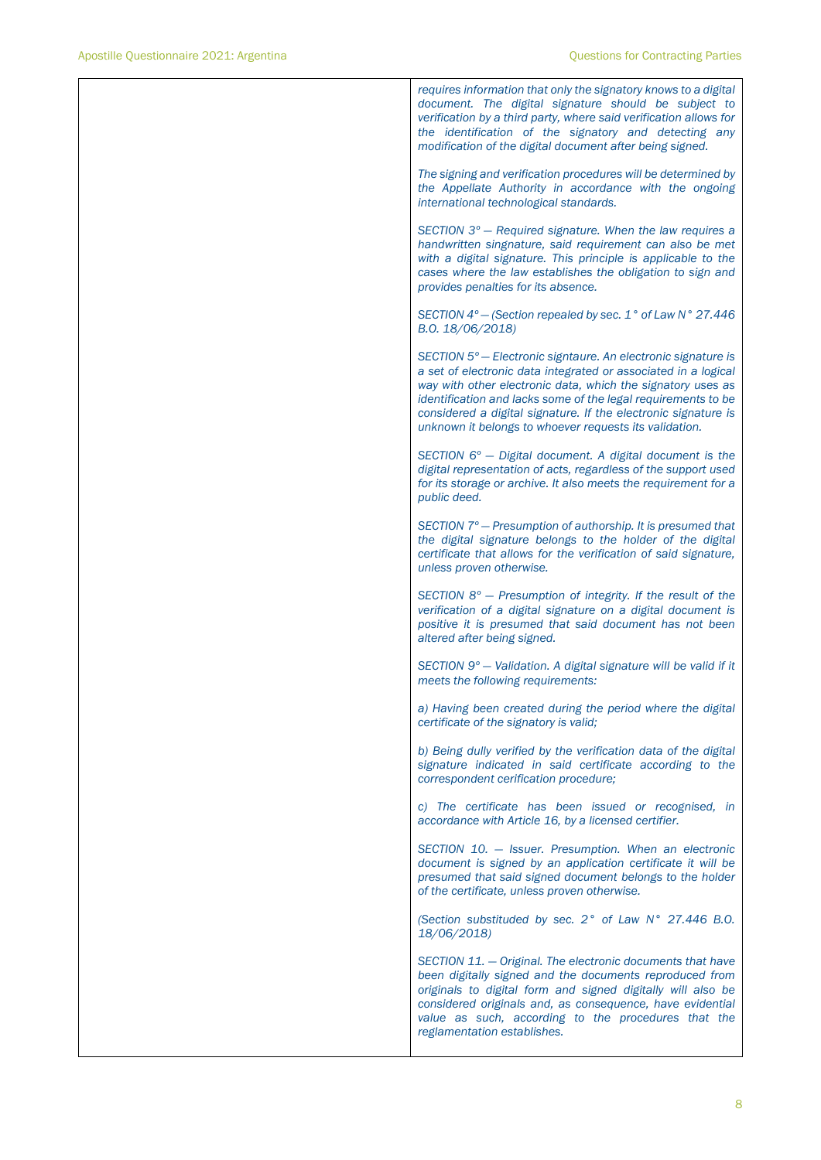*requires information that only the signatory knows to a digital document. The digital signature should be subject to verification by a third party, where said verification allows for the identification of the signatory and detecting any modification of the digital document after being signed. The signing and verification procedures will be determined by the Appellate Authority in accordance with the ongoing international technological standards. SECTION 3º — Required signature. When the law requires a handwritten singnature, said requirement can also be met with a digital signature. This principle is applicable to the cases where the law establishes the obligation to sign and provides penalties for its absence. SECTION 4º — (Section repealed by sec. 1° of Law N° 27.446 B.O. 18/06/2018) SECTION 5º — Electronic signtaure. An electronic signature is a set of electronic data integrated or associated in a logical way with other electronic data, which the signatory uses as identification and lacks some of the legal requirements to be considered a digital signature. If the electronic signature is unknown it belongs to whoever requests its validation. SECTION 6º — Digital document. A digital document is the digital representation of acts, regardless of the support used for its storage or archive. It also meets the requirement for a public deed. SECTION 7º — Presumption of authorship. It is presumed that the digital signature belongs to the holder of the digital certificate that allows for the verification of said signature, unless proven otherwise. SECTION 8º — Presumption of integrity. If the result of the verification of a digital signature on a digital document is positive it is presumed that said document has not been altered after being signed. SECTION 9º — Validation. A digital signature will be valid if it meets the following requirements: a) Having been created during the period where the digital certificate of the signatory is valid; b) Being dully verified by the verification data of the digital signature indicated in said certificate according to the correspondent cerification procedure; c) The certificate has been issued or recognised, in accordance with Article 16, by a licensed certifier. SECTION 10. — Issuer. Presumption. When an electronic document is signed by an application certificate it will be presumed that said signed document belongs to the holder of the certificate, unless proven otherwise. (Section substituded by sec. 2° of Law N° 27.446 B.O. 18/06/2018) SECTION 11. — Original. The electronic documents that have been digitally signed and the documents reproduced from originals to digital form and signed digitally will also be considered originals and, as consequence, have evidential value as such, according to the procedures that the reglamentation establishes.*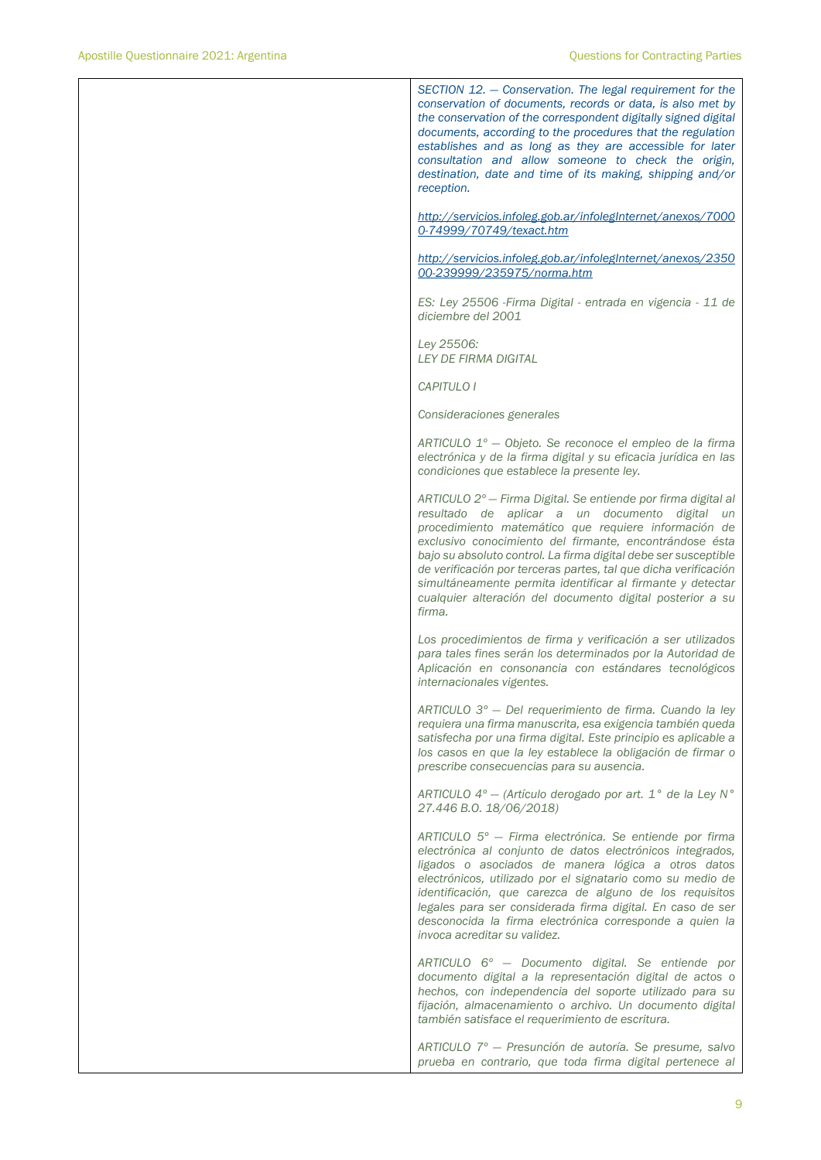*SECTION 12. — Conservation. The legal requirement for the conservation of documents, records or data, is also met by the conservation of the correspondent digitally signed digital documents, according to the procedures that the regulation establishes and as long as they are accessible for later consultation and allow someone to check the origin, destination, date and time of its making, shipping and/or reception.* 

*[http://servicios.infoleg.gob.ar/infolegInternet/anexos/7000](http://servicios.infoleg.gob.ar/infolegInternet/anexos/70000-74999/70749/texact.htm) [0-74999/70749/texact.htm](http://servicios.infoleg.gob.ar/infolegInternet/anexos/70000-74999/70749/texact.htm)*

*[http://servicios.infoleg.gob.ar/infolegInternet/anexos/2350](http://servicios.infoleg.gob.ar/infolegInternet/anexos/235000-239999/235975/norma.htm) [00-239999/235975/norma.htm](http://servicios.infoleg.gob.ar/infolegInternet/anexos/235000-239999/235975/norma.htm)*

*ES: Ley 25506 -Firma Digital - entrada en vigencia - 11 de diciembre del 2001*

*Ley 25506: LEY DE FIRMA DIGITAL*

*CAPITULO I*

*Consideraciones generales*

*ARTICULO 1º — Objeto. Se reconoce el empleo de la firma electrónica y de la firma digital y su eficacia jurídica en las condiciones que establece la presente ley.*

*ARTICULO 2º — Firma Digital. Se entiende por firma digital al resultado de aplicar a un documento digital un procedimiento matemático que requiere información de exclusivo conocimiento del firmante, encontrándose ésta bajo su absoluto control. La firma digital debe ser susceptible de verificación por terceras partes, tal que dicha verificación simultáneamente permita identificar al firmante y detectar cualquier alteración del documento digital posterior a su firma.*

*Los procedimientos de firma y verificación a ser utilizados para tales fines serán los determinados por la Autoridad de Aplicación en consonancia con estándares tecnológicos internacionales vigentes.*

*ARTICULO 3º — Del requerimiento de firma. Cuando la ley requiera una firma manuscrita, esa exigencia también queda satisfecha por una firma digital. Este principio es aplicable a los casos en que la ley establece la obligación de firmar o prescribe consecuencias para su ausencia.*

*ARTICULO 4º — (Artículo derogado por art. 1° de la Ley N° 27.446 B.O. 18/06/2018)*

*ARTICULO 5º — Firma electrónica. Se entiende por firma electrónica al conjunto de datos electrónicos integrados, ligados o asociados de manera lógica a otros datos electrónicos, utilizado por el signatario como su medio de identificación, que carezca de alguno de los requisitos legales para ser considerada firma digital. En caso de ser desconocida la firma electrónica corresponde a quien la invoca acreditar su validez.*

*ARTICULO 6º — Documento digital. Se entiende por documento digital a la representación digital de actos o hechos, con independencia del soporte utilizado para su fijación, almacenamiento o archivo. Un documento digital también satisface el requerimiento de escritura.*

*ARTICULO 7º — Presunción de autoría. Se presume, salvo prueba en contrario, que toda firma digital pertenece al*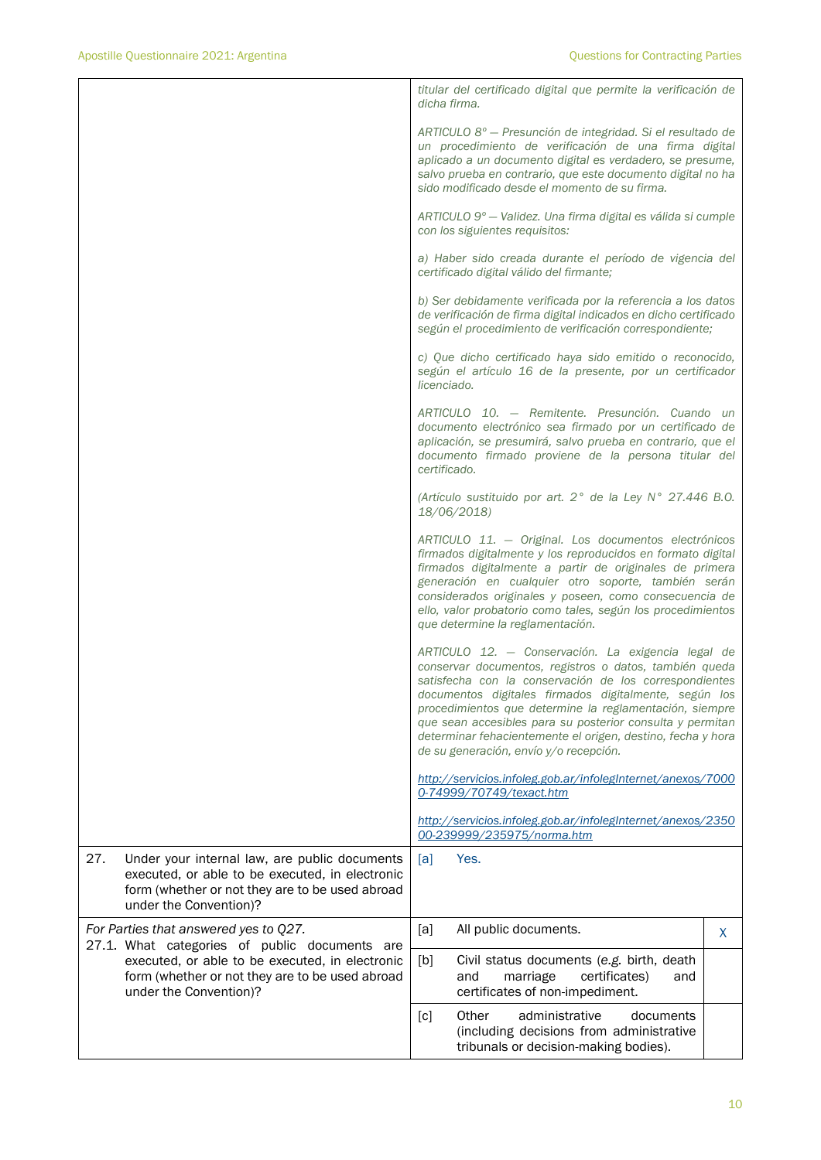|                                                                                                                                                                                      | titular del certificado digital que permite la verificación de<br>dicha firma.                                                                                                                                                                                                                                                                                                                                                                                   |
|--------------------------------------------------------------------------------------------------------------------------------------------------------------------------------------|------------------------------------------------------------------------------------------------------------------------------------------------------------------------------------------------------------------------------------------------------------------------------------------------------------------------------------------------------------------------------------------------------------------------------------------------------------------|
|                                                                                                                                                                                      | ARTICULO 8° - Presunción de integridad. Si el resultado de<br>un procedimiento de verificación de una firma digital<br>aplicado a un documento digital es verdadero, se presume,<br>salvo prueba en contrario, que este documento digital no ha<br>sido modificado desde el momento de su firma.                                                                                                                                                                 |
|                                                                                                                                                                                      | ARTICULO 9° - Validez. Una firma digital es válida si cumple<br>con los siguientes requisitos:                                                                                                                                                                                                                                                                                                                                                                   |
|                                                                                                                                                                                      | a) Haber sido creada durante el período de vigencia del<br>certificado digital válido del firmante;                                                                                                                                                                                                                                                                                                                                                              |
|                                                                                                                                                                                      | b) Ser debidamente verificada por la referencia a los datos<br>de verificación de firma digital indicados en dicho certificado<br>según el procedimiento de verificación correspondiente;                                                                                                                                                                                                                                                                        |
|                                                                                                                                                                                      | c) Que dicho certificado haya sido emitido o reconocido,<br>según el artículo 16 de la presente, por un certificador<br>licenciado.                                                                                                                                                                                                                                                                                                                              |
|                                                                                                                                                                                      | ARTICULO 10. - Remitente. Presunción. Cuando un<br>documento electrónico sea firmado por un certificado de<br>aplicación, se presumirá, salvo prueba en contrario, que el<br>documento firmado proviene de la persona titular del<br>certificado.                                                                                                                                                                                                                |
|                                                                                                                                                                                      | (Artículo sustituido por art. 2° de la Ley N° 27.446 B.O.<br>18/06/2018)                                                                                                                                                                                                                                                                                                                                                                                         |
|                                                                                                                                                                                      | ARTICULO 11. - Original. Los documentos electrónicos<br>firmados digitalmente y los reproducidos en formato digital<br>firmados digitalmente a partir de originales de primera<br>generación en cualquier otro soporte, también serán<br>considerados originales y poseen, como consecuencia de<br>ello, valor probatorio como tales, según los procedimientos<br>que determine la reglamentación.                                                               |
|                                                                                                                                                                                      | ARTICULO 12. - Conservación. La exigencia legal de<br>conservar documentos, registros o datos, también queda<br>satisfecha con la conservación de los correspondientes<br>documentos digitales firmados digitalmente, según los<br>procedimientos que determine la reglamentación, siempre<br>que sean accesibles para su posterior consulta y permitan<br>determinar fehacientemente el origen, destino, fecha y hora<br>de su generación, envío y/o recepción. |
|                                                                                                                                                                                      | http://servicios.infoleg.gob.ar/infolegInternet/anexos/7000<br>0-74999/70749/texact.htm                                                                                                                                                                                                                                                                                                                                                                          |
|                                                                                                                                                                                      | http://servicios.infoleg.gob.ar/infolegInternet/anexos/2350<br>00-239999/235975/norma.htm                                                                                                                                                                                                                                                                                                                                                                        |
| 27.<br>Under your internal law, are public documents<br>executed, or able to be executed, in electronic<br>form (whether or not they are to be used abroad<br>under the Convention)? | Yes.<br>[a]                                                                                                                                                                                                                                                                                                                                                                                                                                                      |
| For Parties that answered yes to Q27.<br>27.1. What categories of public documents are                                                                                               | All public documents.<br>[a]<br>X                                                                                                                                                                                                                                                                                                                                                                                                                                |
| executed, or able to be executed, in electronic<br>form (whether or not they are to be used abroad<br>under the Convention)?                                                         | [b]<br>Civil status documents (e.g. birth, death<br>and<br>marriage<br>certificates)<br>and<br>certificates of non-impediment.                                                                                                                                                                                                                                                                                                                                   |
|                                                                                                                                                                                      | Other<br>administrative<br>[c]<br>documents<br>(including decisions from administrative<br>tribunals or decision-making bodies).                                                                                                                                                                                                                                                                                                                                 |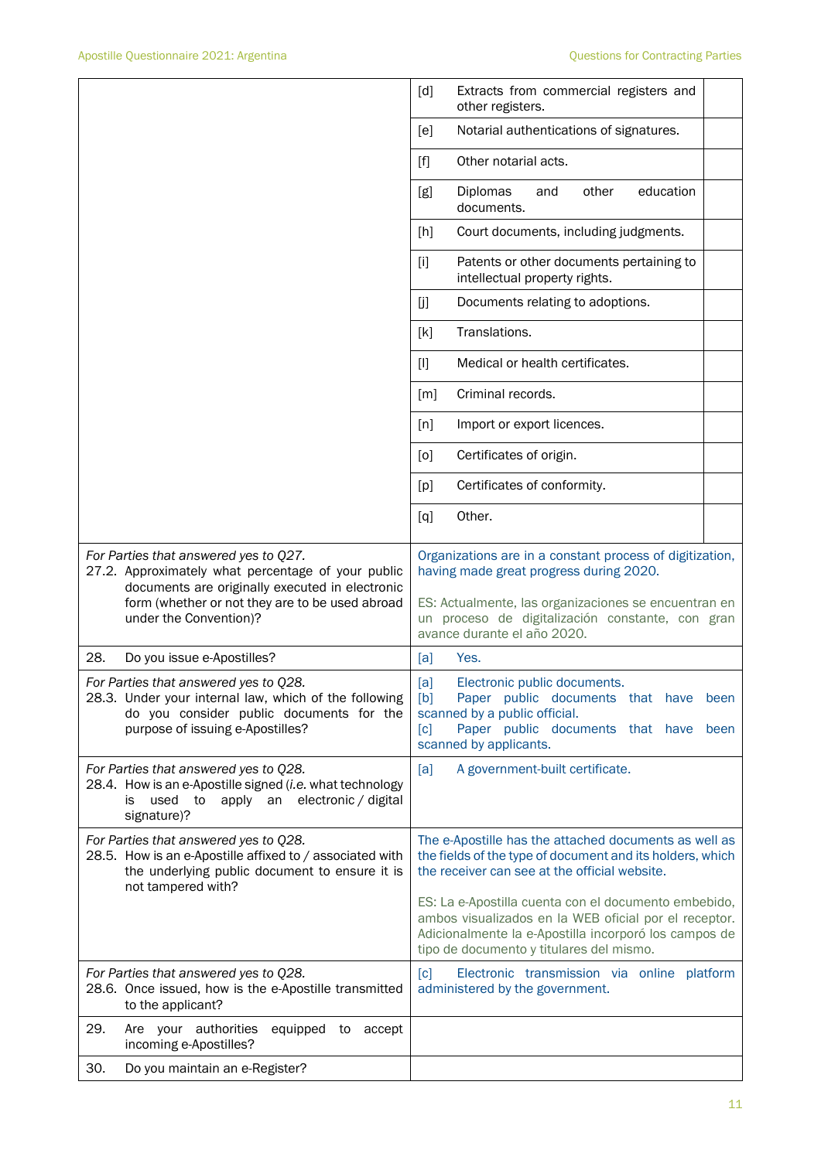|                                                                                                                                                                                                                             | [d]<br>Extracts from commercial registers and<br>other registers.                                                                                                                                                                              |
|-----------------------------------------------------------------------------------------------------------------------------------------------------------------------------------------------------------------------------|------------------------------------------------------------------------------------------------------------------------------------------------------------------------------------------------------------------------------------------------|
|                                                                                                                                                                                                                             | Notarial authentications of signatures.<br>[e]                                                                                                                                                                                                 |
|                                                                                                                                                                                                                             | Other notarial acts.<br>$[f]$                                                                                                                                                                                                                  |
|                                                                                                                                                                                                                             | Diplomas<br>other<br>education<br>[g]<br>and<br>documents.                                                                                                                                                                                     |
|                                                                                                                                                                                                                             | [h]<br>Court documents, including judgments.                                                                                                                                                                                                   |
|                                                                                                                                                                                                                             | $[1]$<br>Patents or other documents pertaining to<br>intellectual property rights.                                                                                                                                                             |
|                                                                                                                                                                                                                             | Documents relating to adoptions.<br>[j]                                                                                                                                                                                                        |
|                                                                                                                                                                                                                             | Translations.<br>[k]                                                                                                                                                                                                                           |
|                                                                                                                                                                                                                             | Medical or health certificates.<br>$[1]$                                                                                                                                                                                                       |
|                                                                                                                                                                                                                             | Criminal records.<br>$\lceil m \rceil$                                                                                                                                                                                                         |
|                                                                                                                                                                                                                             | [n]<br>Import or export licences.                                                                                                                                                                                                              |
|                                                                                                                                                                                                                             | Certificates of origin.<br>[0]                                                                                                                                                                                                                 |
|                                                                                                                                                                                                                             | Certificates of conformity.<br>[p]                                                                                                                                                                                                             |
|                                                                                                                                                                                                                             | Other.<br>[q]                                                                                                                                                                                                                                  |
| For Parties that answered yes to Q27.<br>27.2. Approximately what percentage of your public<br>documents are originally executed in electronic<br>form (whether or not they are to be used abroad<br>under the Convention)? | Organizations are in a constant process of digitization,<br>having made great progress during 2020.<br>ES: Actualmente, las organizaciones se encuentran en<br>un proceso de digitalización constante, con gran<br>avance durante el año 2020. |
| 28.<br>Do you issue e-Apostilles?                                                                                                                                                                                           | Yes.<br>[a]                                                                                                                                                                                                                                    |
| For Parties that answered yes to Q28.<br>28.3. Under your internal law, which of the following<br>do you consider public documents for the<br>purpose of issuing e-Apostilles?                                              | [a]<br>Electronic public documents.<br>[b]<br>Paper public documents that have<br>been<br>scanned by a public official.<br>Paper public documents that have<br>[c]<br>been<br>scanned by applicants.                                           |
| For Parties that answered yes to Q28.<br>28.4. How is an e-Apostille signed (i.e. what technology<br>to apply an electronic / digital<br>is.<br>used<br>signature)?                                                         | A government-built certificate.<br>[a]                                                                                                                                                                                                         |
| For Parties that answered yes to Q28.<br>28.5. How is an e-Apostille affixed to / associated with<br>the underlying public document to ensure it is<br>not tampered with?                                                   | The e-Apostille has the attached documents as well as<br>the fields of the type of document and its holders, which<br>the receiver can see at the official website.                                                                            |
|                                                                                                                                                                                                                             | ES: La e-Apostilla cuenta con el documento embebido,<br>ambos visualizados en la WEB oficial por el receptor.<br>Adicionalmente la e-Apostilla incorporó los campos de<br>tipo de documento y titulares del mismo.                             |
| For Parties that answered yes to Q28.<br>28.6. Once issued, how is the e-Apostille transmitted<br>to the applicant?                                                                                                         | Electronic transmission via online platform<br>[c]<br>administered by the government.                                                                                                                                                          |
| 29.<br>Are your authorities<br>equipped to accept<br>incoming e-Apostilles?                                                                                                                                                 |                                                                                                                                                                                                                                                |
| 30.<br>Do you maintain an e-Register?                                                                                                                                                                                       |                                                                                                                                                                                                                                                |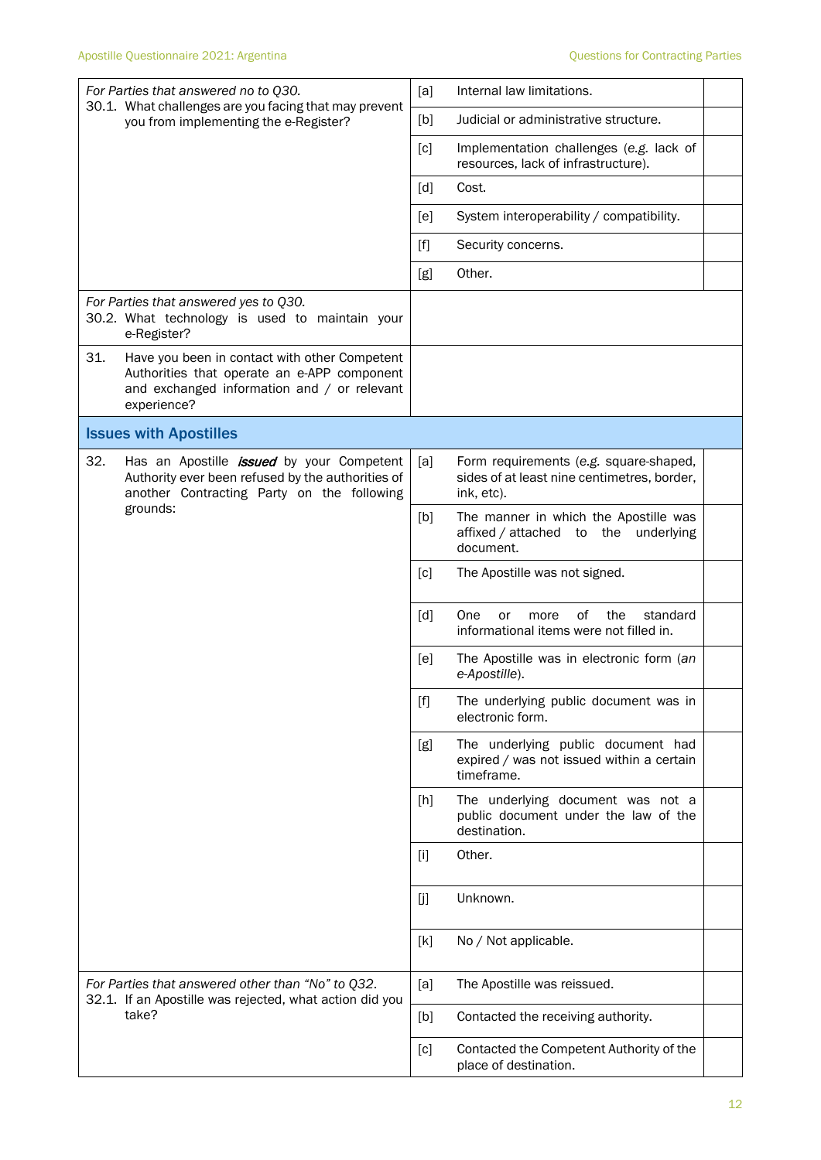| For Parties that answered no to Q30.<br>30.1. What challenges are you facing that may prevent                                                                     | [a]<br>Internal law limitations.                                                                           |
|-------------------------------------------------------------------------------------------------------------------------------------------------------------------|------------------------------------------------------------------------------------------------------------|
| you from implementing the e-Register?                                                                                                                             | Judicial or administrative structure.<br>[b]                                                               |
|                                                                                                                                                                   | $\lceil c \rceil$<br>Implementation challenges (e.g. lack of<br>resources, lack of infrastructure).        |
|                                                                                                                                                                   | $\lceil d \rceil$<br>Cost.                                                                                 |
|                                                                                                                                                                   | System interoperability / compatibility.<br>[ <sub>e</sub> ]                                               |
|                                                                                                                                                                   | Security concerns.<br>$[f]$                                                                                |
|                                                                                                                                                                   | Other.<br>[g]                                                                                              |
| For Parties that answered yes to Q30.<br>30.2. What technology is used to maintain your<br>e-Register?                                                            |                                                                                                            |
| 31.<br>Have you been in contact with other Competent<br>Authorities that operate an e-APP component<br>and exchanged information and / or relevant<br>experience? |                                                                                                            |
| <b>Issues with Apostilles</b>                                                                                                                                     |                                                                                                            |
| 32.<br>Has an Apostille <i>issued</i> by your Competent<br>Authority ever been refused by the authorities of<br>another Contracting Party on the following        | [a]<br>Form requirements (e.g. square-shaped,<br>sides of at least nine centimetres, border,<br>ink, etc). |
| grounds:                                                                                                                                                          | The manner in which the Apostille was<br>[b]<br>the<br>affixed / attached<br>underlying<br>to<br>document. |
|                                                                                                                                                                   | $\lceil c \rceil$<br>The Apostille was not signed.                                                         |
|                                                                                                                                                                   | [d]<br>One<br>0f<br>the<br>standard<br>or<br>more<br>informational items were not filled in.               |
|                                                                                                                                                                   | [e]<br>The Apostille was in electronic form (an<br>e-Apostille).                                           |
|                                                                                                                                                                   | The underlying public document was in<br>$[f]$<br>electronic form.                                         |
|                                                                                                                                                                   | The underlying public document had<br>[g]<br>expired / was not issued within a certain<br>timeframe.       |
|                                                                                                                                                                   | The underlying document was not a<br>$[h]$<br>public document under the law of the<br>destination.         |
|                                                                                                                                                                   | Other.<br>$[1]$                                                                                            |
|                                                                                                                                                                   | Unknown.<br>[j]                                                                                            |
|                                                                                                                                                                   | [k]<br>No / Not applicable.                                                                                |
| For Parties that answered other than "No" to Q32.<br>32.1. If an Apostille was rejected, what action did you                                                      | The Apostille was reissued.<br>[a]                                                                         |
| take?                                                                                                                                                             | Contacted the receiving authority.<br>[b]                                                                  |
|                                                                                                                                                                   | Contacted the Competent Authority of the<br>[c]<br>place of destination.                                   |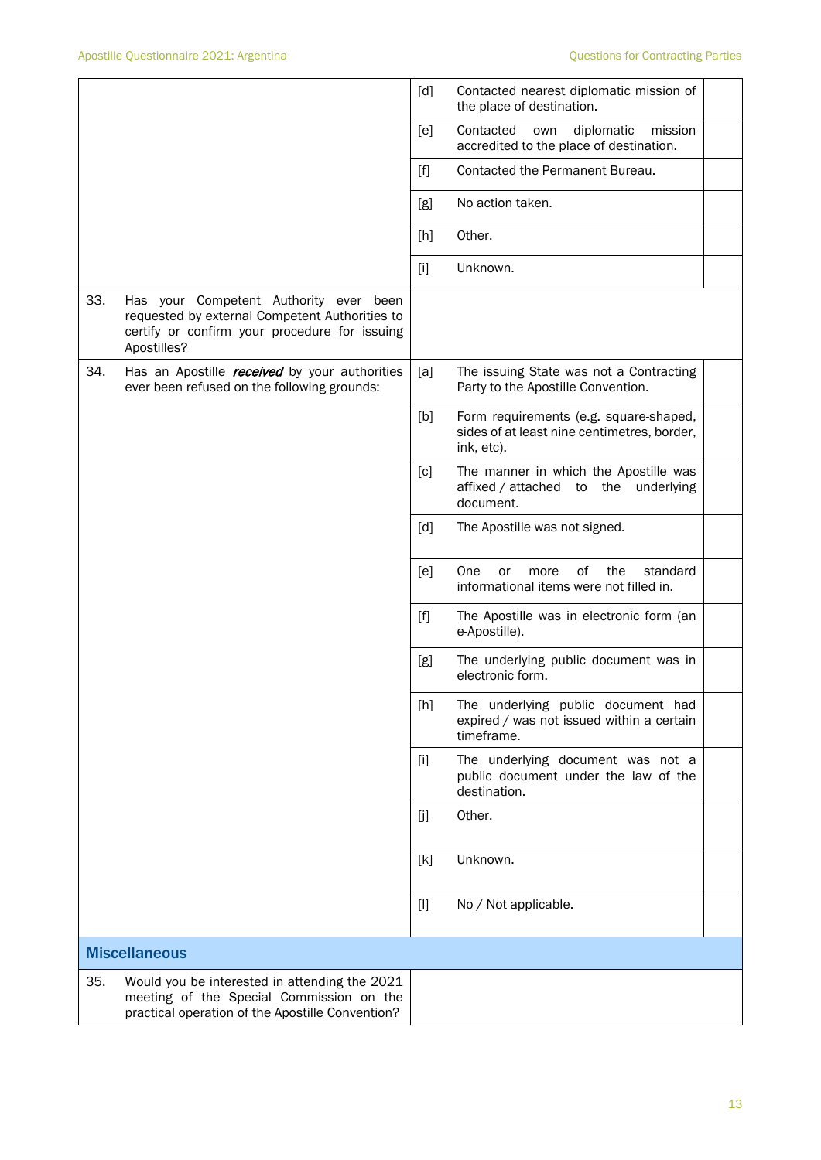|     |                                                                                                                                                          | [d]               | Contacted nearest diplomatic mission of<br>the place of destination.                                |  |
|-----|----------------------------------------------------------------------------------------------------------------------------------------------------------|-------------------|-----------------------------------------------------------------------------------------------------|--|
|     |                                                                                                                                                          | [e]               | Contacted<br>diplomatic<br>mission<br>own<br>accredited to the place of destination.                |  |
|     |                                                                                                                                                          | [f]               | Contacted the Permanent Bureau.                                                                     |  |
|     |                                                                                                                                                          | [g]               | No action taken.                                                                                    |  |
|     |                                                                                                                                                          | [h]               | Other.                                                                                              |  |
|     |                                                                                                                                                          | $[1]$             | Unknown.                                                                                            |  |
| 33. | Has your Competent Authority ever been<br>requested by external Competent Authorities to<br>certify or confirm your procedure for issuing<br>Apostilles? |                   |                                                                                                     |  |
| 34. | Has an Apostille <i>received</i> by your authorities<br>ever been refused on the following grounds:                                                      | [a]               | The issuing State was not a Contracting<br>Party to the Apostille Convention.                       |  |
|     |                                                                                                                                                          | [b]               | Form requirements (e.g. square-shaped,<br>sides of at least nine centimetres, border,<br>ink, etc). |  |
|     |                                                                                                                                                          | [c]               | The manner in which the Apostille was<br>affixed / attached to the underlying<br>document.          |  |
|     |                                                                                                                                                          | $\lceil d \rceil$ | The Apostille was not signed.                                                                       |  |
|     |                                                                                                                                                          | [e]               | One<br>of<br>the<br>standard<br>more<br>or<br>informational items were not filled in.               |  |
|     |                                                                                                                                                          | $[f]$             | The Apostille was in electronic form (an<br>e-Apostille).                                           |  |
|     |                                                                                                                                                          | [g]               | The underlying public document was in<br>electronic form.                                           |  |
|     |                                                                                                                                                          | [h]               | The underlying public document had<br>expired / was not issued within a certain<br>timeframe.       |  |
|     |                                                                                                                                                          | $[1]$             | The underlying document was not a<br>public document under the law of the<br>destination.           |  |
|     |                                                                                                                                                          | [j]               | Other.                                                                                              |  |
|     |                                                                                                                                                          | [k]               | Unknown.                                                                                            |  |
|     |                                                                                                                                                          | $[]$              | No / Not applicable.                                                                                |  |
|     | <b>Miscellaneous</b>                                                                                                                                     |                   |                                                                                                     |  |
| 35. | Would you be interested in attending the 2021<br>meeting of the Special Commission on the<br>practical operation of the Apostille Convention?            |                   |                                                                                                     |  |